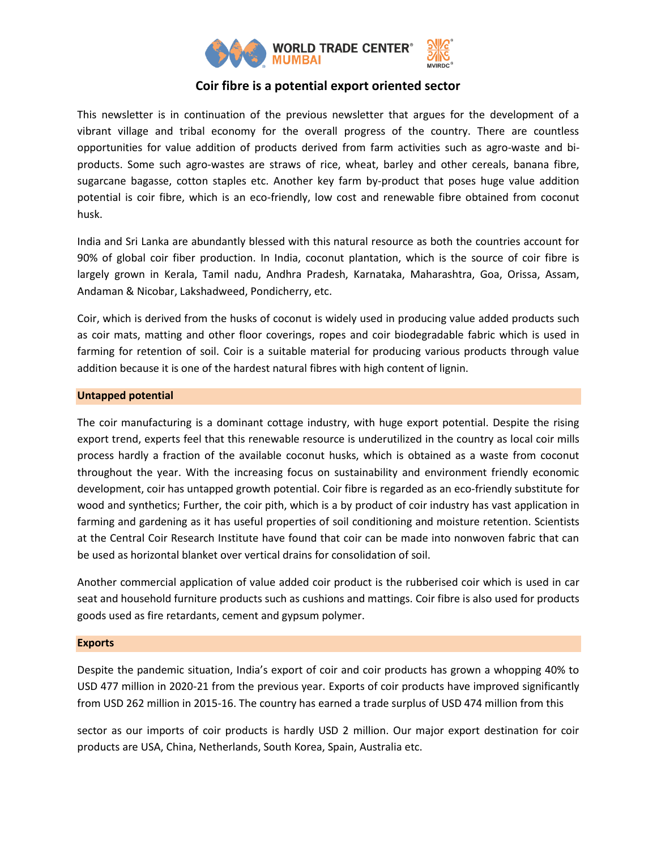

# **Coir fibre is a potential export oriented sector**

This newsletter is in continuation of the previous newsletter that argues for the development of a vibrant village and tribal economy for the overall progress of the country. There are countless opportunities for value addition of products derived from farm activities such as agro-waste and biproducts. Some such agro-wastes are straws of rice, wheat, barley and other cereals, banana fibre, sugarcane bagasse, cotton staples etc. Another key farm by-product that poses huge value addition potential is coir fibre, which is an eco-friendly, low cost and renewable fibre obtained from coconut husk.

India and Sri Lanka are abundantly blessed with this natural resource as both the countries account for 90% of global coir fiber production. In India, coconut plantation, which is the source of coir fibre is largely grown in Kerala, Tamil nadu, Andhra Pradesh, Karnataka, Maharashtra, Goa, Orissa, Assam, Andaman & Nicobar, Lakshadweed, Pondicherry, etc.

Coir, which is derived from the husks of coconut is widely used in producing value added products such as coir mats, matting and other floor coverings, ropes and coir biodegradable fabric which is used in farming for retention of soil. Coir is a suitable material for producing various products through value addition because it is one of the hardest natural fibres with high content of lignin.

## **Untapped potential**

The coir manufacturing is a dominant cottage industry, with huge export potential. Despite the rising export trend, experts feel that this renewable resource is underutilized in the country as local coir mills process hardly a fraction of the available coconut husks, which is obtained as a waste from coconut throughout the year. With the increasing focus on sustainability and environment friendly economic development, coir has untapped growth potential. Coir fibre is regarded as an eco-friendly substitute for wood and synthetics; Further, the coir pith, which is a by product of coir industry has vast application in farming and gardening as it has useful properties of soil conditioning and moisture retention. Scientists at the Central Coir Research Institute have found that coir can be made into nonwoven fabric that can be used as horizontal blanket over vertical drains for consolidation of soil.

Another commercial application of value added coir product is the rubberised coir which is used in car seat and household furniture products such as cushions and mattings. Coir fibre is also used for products goods used as fire retardants, cement and gypsum polymer.

## **Exports**

Despite the pandemic situation, India's export of coir and coir products has grown a whopping 40% to USD 477 million in 2020-21 from the previous year. Exports of coir products have improved significantly from USD 262 million in 2015-16. The country has earned a trade surplus of USD 474 million from this

sector as our imports of coir products is hardly USD 2 million. Our major export destination for coir products are USA, China, Netherlands, South Korea, Spain, Australia etc.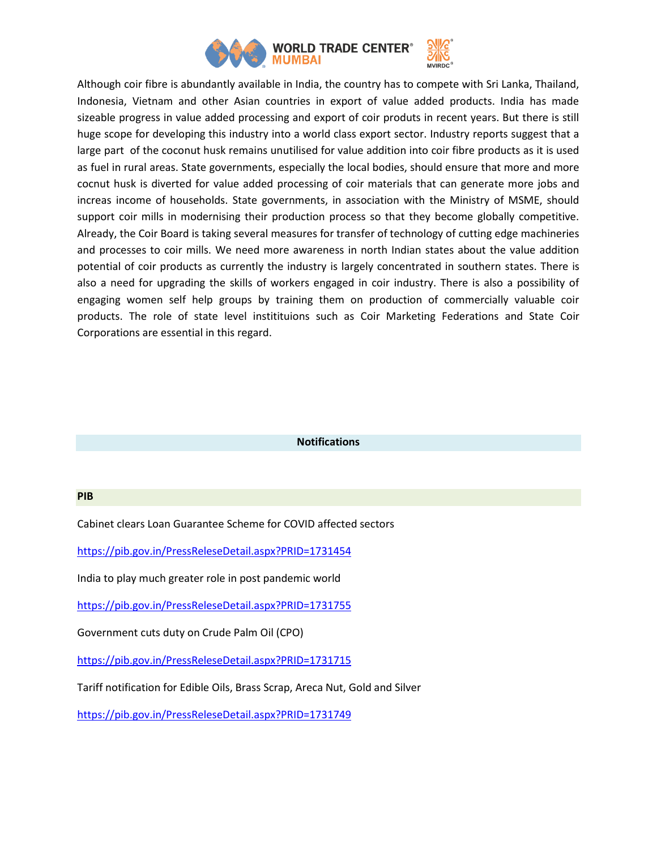

Although coir fibre is abundantly available in India, the country has to compete with Sri Lanka, Thailand, Indonesia, Vietnam and other Asian countries in export of value added products. India has made sizeable progress in value added processing and export of coir produts in recent years. But there is still huge scope for developing this industry into a world class export sector. Industry reports suggest that a large part of the coconut husk remains unutilised for value addition into coir fibre products as it is used as fuel in rural areas. State governments, especially the local bodies, should ensure that more and more cocnut husk is diverted for value added processing of coir materials that can generate more jobs and increas income of households. State governments, in association with the Ministry of MSME, should support coir mills in modernising their production process so that they become globally competitive. Already, the Coir Board is taking several measures for transfer of technology of cutting edge machineries and processes to coir mills. We need more awareness in north Indian states about the value addition potential of coir products as currently the industry is largely concentrated in southern states. There is also a need for upgrading the skills of workers engaged in coir industry. There is also a possibility of engaging women self help groups by training them on production of commercially valuable coir products. The role of state level institituions such as Coir Marketing Federations and State Coir Corporations are essential in this regard.

#### **Notifications**

#### **PIB**

Cabinet clears Loan Guarantee Scheme for COVID affected sectors

<https://pib.gov.in/PressReleseDetail.aspx?PRID=1731454>

India to play much greater role in post pandemic world

<https://pib.gov.in/PressReleseDetail.aspx?PRID=1731755>

Government cuts duty on Crude Palm Oil (CPO)

<https://pib.gov.in/PressReleseDetail.aspx?PRID=1731715>

Tariff notification for Edible Oils, Brass Scrap, Areca Nut, Gold and Silver

<https://pib.gov.in/PressReleseDetail.aspx?PRID=1731749>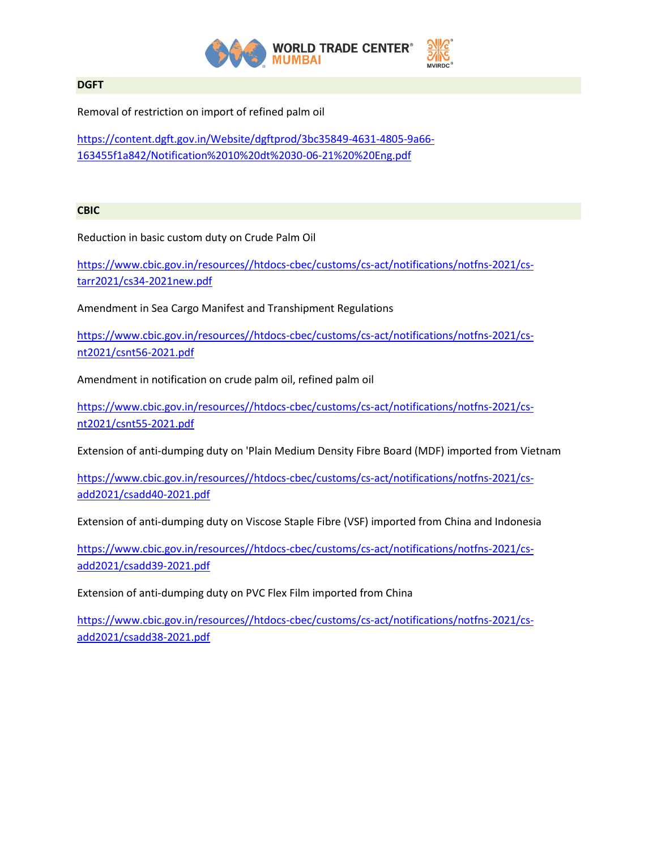

## **DGFT**

Removal of restriction on import of refined palm oil

[https://content.dgft.gov.in/Website/dgftprod/3bc35849-4631-4805-9a66-](https://content.dgft.gov.in/Website/dgftprod/3bc35849-4631-4805-9a66-163455f1a842/Notification%2010%20dt%2030-06-21%20%20Eng.pdf) [163455f1a842/Notification%2010%20dt%2030-06-21%20%20Eng.pdf](https://content.dgft.gov.in/Website/dgftprod/3bc35849-4631-4805-9a66-163455f1a842/Notification%2010%20dt%2030-06-21%20%20Eng.pdf)

## **CBIC**

Reduction in basic custom duty on Crude Palm Oil

[https://www.cbic.gov.in/resources//htdocs-cbec/customs/cs-act/notifications/notfns-2021/cs](https://www.cbic.gov.in/resources/htdocs-cbec/customs/cs-act/notifications/notfns-2021/cs-tarr2021/cs34-2021new.pdf)[tarr2021/cs34-2021new.pdf](https://www.cbic.gov.in/resources/htdocs-cbec/customs/cs-act/notifications/notfns-2021/cs-tarr2021/cs34-2021new.pdf)

Amendment in Sea Cargo Manifest and Transhipment Regulations

[https://www.cbic.gov.in/resources//htdocs-cbec/customs/cs-act/notifications/notfns-2021/cs](https://www.cbic.gov.in/resources/htdocs-cbec/customs/cs-act/notifications/notfns-2021/cs-nt2021/csnt56-2021.pdf)[nt2021/csnt56-2021.pdf](https://www.cbic.gov.in/resources/htdocs-cbec/customs/cs-act/notifications/notfns-2021/cs-nt2021/csnt56-2021.pdf)

Amendment in notification on crude palm oil, refined palm oil

[https://www.cbic.gov.in/resources//htdocs-cbec/customs/cs-act/notifications/notfns-2021/cs](https://www.cbic.gov.in/resources/htdocs-cbec/customs/cs-act/notifications/notfns-2021/cs-nt2021/csnt55-2021.pdf)[nt2021/csnt55-2021.pdf](https://www.cbic.gov.in/resources/htdocs-cbec/customs/cs-act/notifications/notfns-2021/cs-nt2021/csnt55-2021.pdf)

Extension of anti-dumping duty on 'Plain Medium Density Fibre Board (MDF) imported from Vietnam

[https://www.cbic.gov.in/resources//htdocs-cbec/customs/cs-act/notifications/notfns-2021/cs](https://www.cbic.gov.in/resources/htdocs-cbec/customs/cs-act/notifications/notfns-2021/cs-add2021/csadd40-2021.pdf)[add2021/csadd40-2021.pdf](https://www.cbic.gov.in/resources/htdocs-cbec/customs/cs-act/notifications/notfns-2021/cs-add2021/csadd40-2021.pdf)

Extension of anti-dumping duty on Viscose Staple Fibre (VSF) imported from China and Indonesia

[https://www.cbic.gov.in/resources//htdocs-cbec/customs/cs-act/notifications/notfns-2021/cs](https://www.cbic.gov.in/resources/htdocs-cbec/customs/cs-act/notifications/notfns-2021/cs-add2021/csadd39-2021.pdf)[add2021/csadd39-2021.pdf](https://www.cbic.gov.in/resources/htdocs-cbec/customs/cs-act/notifications/notfns-2021/cs-add2021/csadd39-2021.pdf)

Extension of anti-dumping duty on PVC Flex Film imported from China

[https://www.cbic.gov.in/resources//htdocs-cbec/customs/cs-act/notifications/notfns-2021/cs](https://www.cbic.gov.in/resources/htdocs-cbec/customs/cs-act/notifications/notfns-2021/cs-add2021/csadd38-2021.pdf)[add2021/csadd38-2021.pdf](https://www.cbic.gov.in/resources/htdocs-cbec/customs/cs-act/notifications/notfns-2021/cs-add2021/csadd38-2021.pdf)